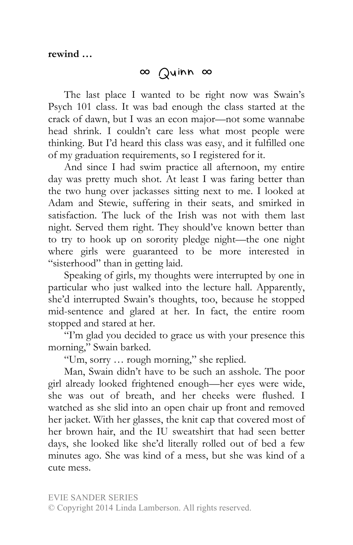## ∞ Quinn ∞

The last place I wanted to be right now was Swain's Psych 101 class. It was bad enough the class started at the crack of dawn, but I was an econ major—not some wannabe head shrink. I couldn't care less what most people were thinking. But I'd heard this class was easy, and it fulfilled one of my graduation requirements, so I registered for it.

And since I had swim practice all afternoon, my entire day was pretty much shot. At least I was faring better than the two hung over jackasses sitting next to me. I looked at Adam and Stewie, suffering in their seats, and smirked in satisfaction. The luck of the Irish was not with them last night. Served them right. They should've known better than to try to hook up on sorority pledge night—the one night where girls were guaranteed to be more interested in "sisterhood" than in getting laid.

Speaking of girls, my thoughts were interrupted by one in particular who just walked into the lecture hall. Apparently, she'd interrupted Swain's thoughts, too, because he stopped mid-sentence and glared at her. In fact, the entire room stopped and stared at her.

"I'm glad you decided to grace us with your presence this morning," Swain barked.

"Um, sorry … rough morning," she replied.

Man, Swain didn't have to be such an asshole. The poor girl already looked frightened enough—her eyes were wide, she was out of breath, and her cheeks were flushed. I watched as she slid into an open chair up front and removed her jacket. With her glasses, the knit cap that covered most of her brown hair, and the IU sweatshirt that had seen better days, she looked like she'd literally rolled out of bed a few minutes ago. She was kind of a mess, but she was kind of a cute mess.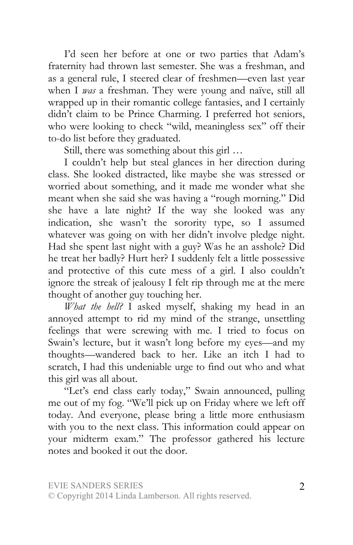I'd seen her before at one or two parties that Adam's fraternity had thrown last semester. She was a freshman, and as a general rule, I steered clear of freshmen—even last year when I *was* a freshman. They were young and naïve, still all wrapped up in their romantic college fantasies, and I certainly didn't claim to be Prince Charming. I preferred hot seniors, who were looking to check "wild, meaningless sex" off their to-do list before they graduated.

Still, there was something about this girl …

I couldn't help but steal glances in her direction during class. She looked distracted, like maybe she was stressed or worried about something, and it made me wonder what she meant when she said she was having a "rough morning." Did she have a late night? If the way she looked was any indication, she wasn't the sorority type, so I assumed whatever was going on with her didn't involve pledge night. Had she spent last night with a guy? Was he an asshole? Did he treat her badly? Hurt her? I suddenly felt a little possessive and protective of this cute mess of a girl. I also couldn't ignore the streak of jealousy I felt rip through me at the mere thought of another guy touching her.

*What the hell?* I asked myself, shaking my head in an annoyed attempt to rid my mind of the strange, unsettling feelings that were screwing with me. I tried to focus on Swain's lecture, but it wasn't long before my eyes—and my thoughts—wandered back to her. Like an itch I had to scratch, I had this undeniable urge to find out who and what this girl was all about.

"Let's end class early today," Swain announced, pulling me out of my fog. "We'll pick up on Friday where we left off today. And everyone, please bring a little more enthusiasm with you to the next class. This information could appear on your midterm exam." The professor gathered his lecture notes and booked it out the door.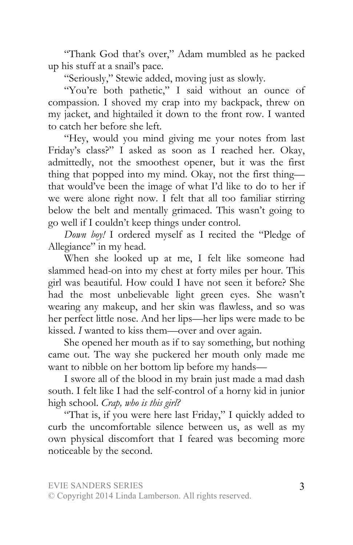"Thank God that's over," Adam mumbled as he packed up his stuff at a snail's pace.

"Seriously," Stewie added, moving just as slowly.

"You're both pathetic," I said without an ounce of compassion. I shoved my crap into my backpack, threw on my jacket, and hightailed it down to the front row. I wanted to catch her before she left.

"Hey, would you mind giving me your notes from last Friday's class?" I asked as soon as I reached her. Okay, admittedly, not the smoothest opener, but it was the first thing that popped into my mind. Okay, not the first thing that would've been the image of what I'd like to do to her if we were alone right now. I felt that all too familiar stirring below the belt and mentally grimaced. This wasn't going to go well if I couldn't keep things under control.

*Down boy!* I ordered myself as I recited the "Pledge of Allegiance" in my head.

When she looked up at me, I felt like someone had slammed head-on into my chest at forty miles per hour. This girl was beautiful. How could I have not seen it before? She had the most unbelievable light green eyes. She wasn't wearing any makeup, and her skin was flawless, and so was her perfect little nose. And her lips—her lips were made to be kissed. *I* wanted to kiss them—over and over again.

She opened her mouth as if to say something, but nothing came out. The way she puckered her mouth only made me want to nibble on her bottom lip before my hands—

I swore all of the blood in my brain just made a mad dash south. I felt like I had the self-control of a horny kid in junior high school. *Crap, who is this girl?*

"That is, if you were here last Friday," I quickly added to curb the uncomfortable silence between us, as well as my own physical discomfort that I feared was becoming more noticeable by the second.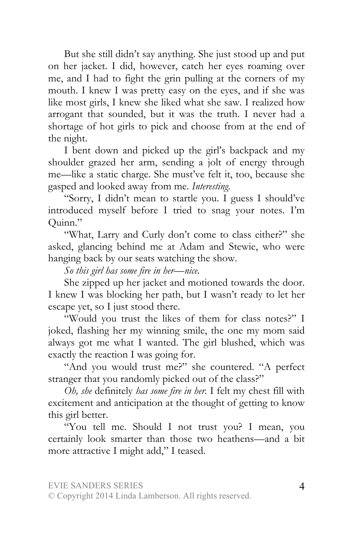But she still didn't say anything. She just stood up and put on her jacket. I did, however, catch her eyes roaming over me, and I had to fight the grin pulling at the corners of my mouth. I knew I was pretty easy on the eyes, and if she was like most girls, I knew she liked what she saw. I realized how arrogant that sounded, but it was the truth. I never had a shortage of hot girls to pick and choose from at the end of the night.

I bent down and picked up the girl's backpack and my shoulder grazed her arm, sending a jolt of energy through me—like a static charge. She must've felt it, too, because she gasped and looked away from me. *Interesting.*

"Sorry, I didn't mean to startle you. I guess I should've introduced myself before I tried to snag your notes. I'm Quinn."

"What, Larry and Curly don't come to class either?" she asked, glancing behind me at Adam and Stewie, who were hanging back by our seats watching the show.

*So this girl has some fire in her—nice.*

She zipped up her jacket and motioned towards the door. I knew I was blocking her path, but I wasn't ready to let her escape yet, so I just stood there.

"Would you trust the likes of them for class notes?" I joked, flashing her my winning smile, the one my mom said always got me what I wanted. The girl blushed, which was exactly the reaction I was going for.

"And you would trust me?" she countered. "A perfect stranger that you randomly picked out of the class?"

*Oh, she* definitely *has some fire in her.* I felt my chest fill with excitement and anticipation at the thought of getting to know this girl better.

"You tell me. Should I not trust you? I mean, you certainly look smarter than those two heathens—and a bit more attractive I might add," I teased.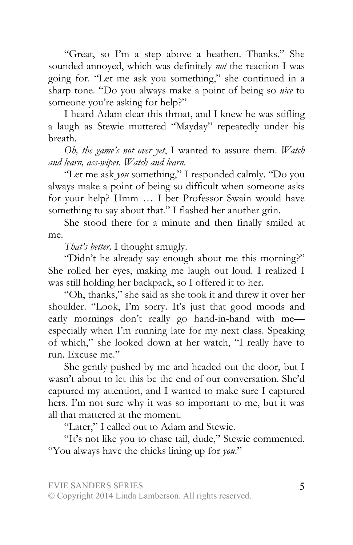"Great, so I'm a step above a heathen. Thanks." She sounded annoyed, which was definitely *not* the reaction I was going for. "Let me ask you something," she continued in a sharp tone. "Do you always make a point of being so *nice* to someone you're asking for help?"

I heard Adam clear this throat, and I knew he was stifling a laugh as Stewie muttered "Mayday" repeatedly under his breath.

*Oh, the game's not over yet*, I wanted to assure them. *Watch and learn, ass-wipes. Watch and learn.* 

"Let me ask *you* something," I responded calmly. "Do you always make a point of being so difficult when someone asks for your help? Hmm … I bet Professor Swain would have something to say about that." I flashed her another grin.

She stood there for a minute and then finally smiled at me.

*That's better,* I thought smugly.

"Didn't he already say enough about me this morning?" She rolled her eyes, making me laugh out loud. I realized I was still holding her backpack, so I offered it to her.

"Oh, thanks," she said as she took it and threw it over her shoulder. "Look, I'm sorry. It's just that good moods and early mornings don't really go hand-in-hand with meespecially when I'm running late for my next class. Speaking of which," she looked down at her watch, "I really have to run. Excuse me."

She gently pushed by me and headed out the door, but I wasn't about to let this be the end of our conversation. She'd captured my attention, and I wanted to make sure I captured hers. I'm not sure why it was so important to me, but it was all that mattered at the moment.

"Later," I called out to Adam and Stewie.

"It's not like you to chase tail, dude," Stewie commented. "You always have the chicks lining up for *you*."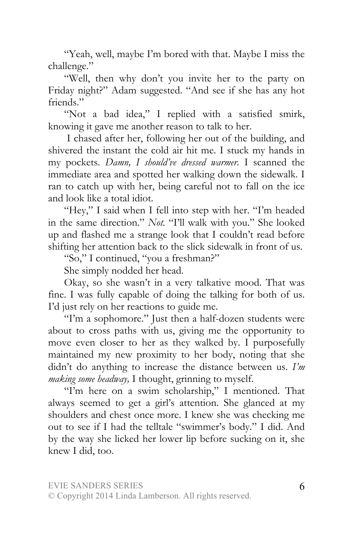"Yeah, well, maybe I'm bored with that. Maybe I miss the challenge."

"Well, then why don't you invite her to the party on Friday night?" Adam suggested. "And see if she has any hot friends."

"Not a bad idea," I replied with a satisfied smirk, knowing it gave me another reason to talk to her.

 I chased after her, following her out of the building, and shivered the instant the cold air hit me. I stuck my hands in my pockets. *Damn, I should've dressed warmer.* I scanned the immediate area and spotted her walking down the sidewalk. I ran to catch up with her, being careful not to fall on the ice and look like a total idiot.

"Hey," I said when I fell into step with her. "I'm headed in the same direction." *Not.* "I'll walk with you." She looked up and flashed me a strange look that I couldn't read before shifting her attention back to the slick sidewalk in front of us.

"So," I continued, "you a freshman?"

She simply nodded her head.

Okay, so she wasn't in a very talkative mood. That was fine. I was fully capable of doing the talking for both of us. I'd just rely on her reactions to guide me.

"I'm a sophomore." Just then a half-dozen students were about to cross paths with us, giving me the opportunity to move even closer to her as they walked by. I purposefully maintained my new proximity to her body, noting that she didn't do anything to increase the distance between us. *I'm making some headway,* I thought, grinning to myself.

"I'm here on a swim scholarship," I mentioned. That always seemed to get a girl's attention. She glanced at my shoulders and chest once more. I knew she was checking me out to see if I had the telltale "swimmer's body." I did. And by the way she licked her lower lip before sucking on it, she knew I did, too.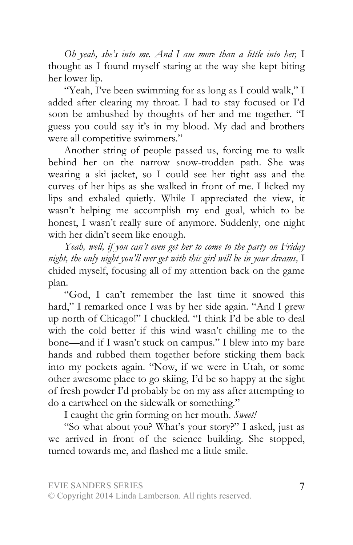*Oh yeah, she's into me. And I am more than a little into her,* I thought as I found myself staring at the way she kept biting her lower lip.

"Yeah, I've been swimming for as long as I could walk," I added after clearing my throat. I had to stay focused or I'd soon be ambushed by thoughts of her and me together. "I guess you could say it's in my blood. My dad and brothers were all competitive swimmers."

Another string of people passed us, forcing me to walk behind her on the narrow snow-trodden path. She was wearing a ski jacket, so I could see her tight ass and the curves of her hips as she walked in front of me. I licked my lips and exhaled quietly. While I appreciated the view, it wasn't helping me accomplish my end goal, which to be honest, I wasn't really sure of anymore. Suddenly, one night with her didn't seem like enough.

*Yeah, well, if you can't even get her to come to the party on Friday night, the only night you'll ever get with this girl will be in your dreams,* I chided myself, focusing all of my attention back on the game plan.

"God, I can't remember the last time it snowed this hard," I remarked once I was by her side again. "And I grew up north of Chicago!" I chuckled. "I think I'd be able to deal with the cold better if this wind wasn't chilling me to the bone—and if I wasn't stuck on campus." I blew into my bare hands and rubbed them together before sticking them back into my pockets again. "Now, if we were in Utah, or some other awesome place to go skiing, I'd be so happy at the sight of fresh powder I'd probably be on my ass after attempting to do a cartwheel on the sidewalk or something."

I caught the grin forming on her mouth. *Sweet!*

"So what about you? What's your story?" I asked, just as we arrived in front of the science building. She stopped, turned towards me, and flashed me a little smile.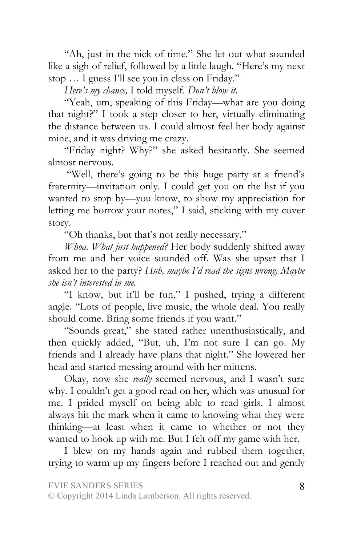"Ah, just in the nick of time." She let out what sounded like a sigh of relief, followed by a little laugh. "Here's my next stop … I guess I'll see you in class on Friday."

*Here's my chance,* I told myself. *Don't blow it.*

"Yeah, um, speaking of this Friday—what are you doing that night?" I took a step closer to her, virtually eliminating the distance between us. I could almost feel her body against mine, and it was driving me crazy.

"Friday night? Why?" she asked hesitantly. She seemed almost nervous.

"Well, there's going to be this huge party at a friend's fraternity—invitation only. I could get you on the list if you wanted to stop by—you know, to show my appreciation for letting me borrow your notes," I said, sticking with my cover story.

"Oh thanks, but that's not really necessary."

*Whoa. What just happened?* Her body suddenly shifted away from me and her voice sounded off. Was she upset that I asked her to the party? *Huh, maybe I'd read the signs wrong. Maybe she isn't interested in me.* 

"I know, but it'll be fun," I pushed, trying a different angle. "Lots of people, live music, the whole deal. You really should come. Bring some friends if you want."

"Sounds great," she stated rather unenthusiastically, and then quickly added, "But, uh, I'm not sure I can go. My friends and I already have plans that night." She lowered her head and started messing around with her mittens.

Okay, now she *really* seemed nervous, and I wasn't sure why. I couldn't get a good read on her, which was unusual for me. I prided myself on being able to read girls. I almost always hit the mark when it came to knowing what they were thinking—at least when it came to whether or not they wanted to hook up with me. But I felt off my game with her.

I blew on my hands again and rubbed them together, trying to warm up my fingers before I reached out and gently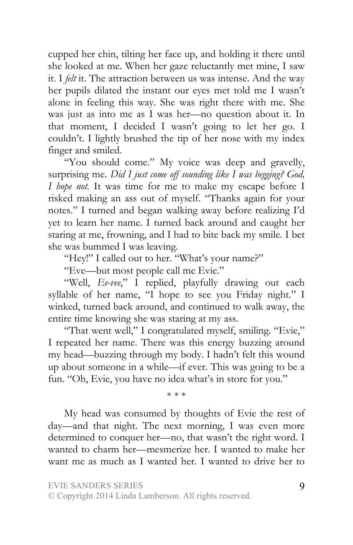cupped her chin, tilting her face up, and holding it there until she looked at me. When her gaze reluctantly met mine, I saw it. I *felt* it. The attraction between us was intense. And the way her pupils dilated the instant our eyes met told me I wasn't alone in feeling this way. She was right there with me. She was just as into me as I was her—no question about it. In that moment, I decided I wasn't going to let her go. I couldn't. I lightly brushed the tip of her nose with my index finger and smiled.

"You should come." My voice was deep and gravelly, surprising me. *Did I just come off sounding like I was begging? God, I hope not.* It was time for me to make my escape before I risked making an ass out of myself. "Thanks again for your notes." I turned and began walking away before realizing I'd yet to learn her name. I turned back around and caught her staring at me, frowning, and I had to bite back my smile. I bet she was bummed I was leaving.

"Hey!" I called out to her. "What's your name?"

"Eve—but most people call me Evie."

"Well, *Ee-vee*," I replied, playfully drawing out each syllable of her name, "I hope to see you Friday night." I winked, turned back around, and continued to walk away, the entire time knowing she was staring at my ass.

"That went well," I congratulated myself, smiling. "Evie," I repeated her name. There was this energy buzzing around my head—buzzing through my body. I hadn't felt this wound up about someone in a while—if ever. This was going to be a fun. "Oh, Evie, you have no idea what's in store for you."

\* \* \*

My head was consumed by thoughts of Evie the rest of day—and that night. The next morning, I was even more determined to conquer her—no, that wasn't the right word. I wanted to charm her—mesmerize her. I wanted to make her want me as much as I wanted her. I wanted to drive her to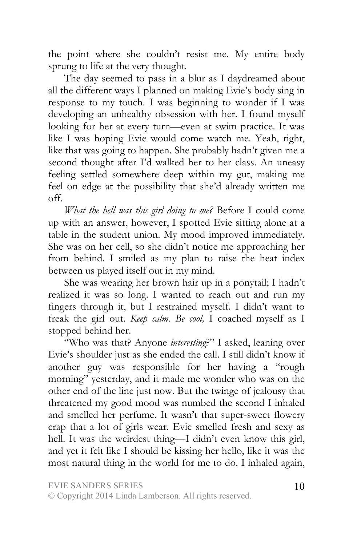the point where she couldn't resist me. My entire body sprung to life at the very thought.

The day seemed to pass in a blur as I daydreamed about all the different ways I planned on making Evie's body sing in response to my touch. I was beginning to wonder if I was developing an unhealthy obsession with her. I found myself looking for her at every turn—even at swim practice. It was like I was hoping Evie would come watch me. Yeah, right, like that was going to happen. She probably hadn't given me a second thought after I'd walked her to her class. An uneasy feeling settled somewhere deep within my gut, making me feel on edge at the possibility that she'd already written me off.

*What the hell was this girl doing to me?* Before I could come up with an answer, however, I spotted Evie sitting alone at a table in the student union. My mood improved immediately. She was on her cell, so she didn't notice me approaching her from behind. I smiled as my plan to raise the heat index between us played itself out in my mind.

She was wearing her brown hair up in a ponytail; I hadn't realized it was so long. I wanted to reach out and run my fingers through it, but I restrained myself. I didn't want to freak the girl out. *Keep calm. Be cool,* I coached myself as I stopped behind her.

"Who was that? Anyone *interesting*?" I asked, leaning over Evie's shoulder just as she ended the call. I still didn't know if another guy was responsible for her having a "rough morning" yesterday, and it made me wonder who was on the other end of the line just now. But the twinge of jealousy that threatened my good mood was numbed the second I inhaled and smelled her perfume. It wasn't that super-sweet flowery crap that a lot of girls wear. Evie smelled fresh and sexy as hell. It was the weirdest thing—I didn't even know this girl, and yet it felt like I should be kissing her hello, like it was the most natural thing in the world for me to do. I inhaled again,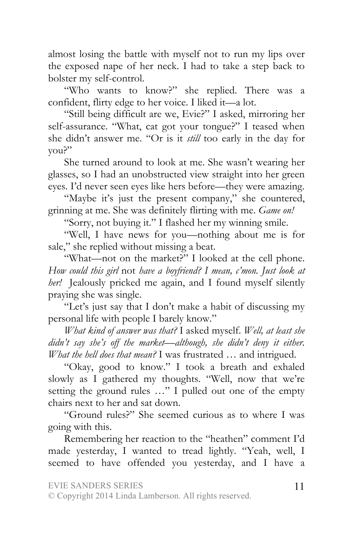almost losing the battle with myself not to run my lips over the exposed nape of her neck. I had to take a step back to bolster my self-control.

"Who wants to know?" she replied. There was a confident, flirty edge to her voice. I liked it—a lot.

"Still being difficult are we, Evie?" I asked, mirroring her self-assurance. "What, cat got your tongue?" I teased when she didn't answer me. "Or is it *still* too early in the day for you?"

She turned around to look at me. She wasn't wearing her glasses, so I had an unobstructed view straight into her green eyes. I'd never seen eyes like hers before—they were amazing.

"Maybe it's just the present company," she countered, grinning at me. She was definitely flirting with me. *Game on!* 

"Sorry, not buying it." I flashed her my winning smile.

"Well, I have news for you—nothing about me is for sale," she replied without missing a beat.

"What—not on the market?" I looked at the cell phone. *How could this girl* not *have a boyfriend? I mean, c'mon. Just look at her!* Jealously pricked me again, and I found myself silently praying she was single.

"Let's just say that I don't make a habit of discussing my personal life with people I barely know."

*What kind of answer was that?* I asked myself. *Well, at least she didn't say she's off the market—although, she didn't deny it either. What the hell does that mean?* I was frustrated … and intrigued.

"Okay, good to know." I took a breath and exhaled slowly as I gathered my thoughts. "Well, now that we're setting the ground rules …" I pulled out one of the empty chairs next to her and sat down.

"Ground rules?" She seemed curious as to where I was going with this.

Remembering her reaction to the "heathen" comment I'd made yesterday, I wanted to tread lightly. "Yeah, well, I seemed to have offended you yesterday, and I have a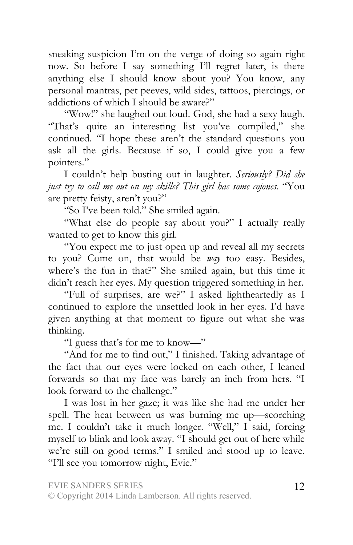sneaking suspicion I'm on the verge of doing so again right now. So before I say something I'll regret later, is there anything else I should know about you? You know, any personal mantras, pet peeves, wild sides, tattoos, piercings, or addictions of which I should be aware?"

"Wow!" she laughed out loud. God, she had a sexy laugh. "That's quite an interesting list you've compiled," she continued. "I hope these aren't the standard questions you ask all the girls. Because if so, I could give you a few pointers."

I couldn't help busting out in laughter. *Seriously? Did she just try to call me out on my skills? This girl has some cojones.* "You are pretty feisty, aren't you?"

"So I've been told." She smiled again.

"What else do people say about you?" I actually really wanted to get to know this girl.

"You expect me to just open up and reveal all my secrets to you? Come on, that would be *way* too easy. Besides, where's the fun in that?" She smiled again, but this time it didn't reach her eyes. My question triggered something in her.

"Full of surprises, are we?" I asked lightheartedly as I continued to explore the unsettled look in her eyes. I'd have given anything at that moment to figure out what she was thinking.

"I guess that's for me to know—"

"And for me to find out," I finished. Taking advantage of the fact that our eyes were locked on each other, I leaned forwards so that my face was barely an inch from hers. "I look forward to the challenge."

I was lost in her gaze; it was like she had me under her spell. The heat between us was burning me up—scorching me. I couldn't take it much longer. "Well," I said, forcing myself to blink and look away. "I should get out of here while we're still on good terms." I smiled and stood up to leave. "I'll see you tomorrow night, Evie."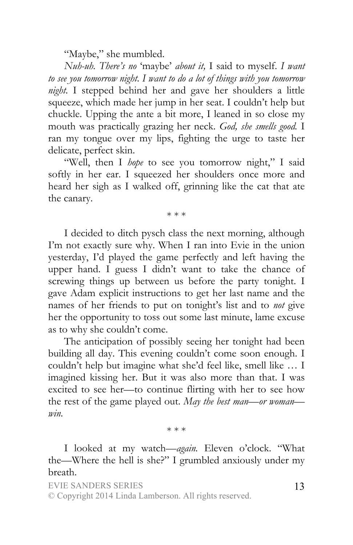"Maybe," she mumbled.

*Nuh-uh. There's no* 'maybe' *about it,* I said to myself. *I want to see you tomorrow night. I want to do a lot of things with you tomorrow night.* I stepped behind her and gave her shoulders a little squeeze, which made her jump in her seat. I couldn't help but chuckle. Upping the ante a bit more, I leaned in so close my mouth was practically grazing her neck. *God, she smells good.* I ran my tongue over my lips, fighting the urge to taste her delicate, perfect skin.

"Well, then I *hope* to see you tomorrow night," I said softly in her ear. I squeezed her shoulders once more and heard her sigh as I walked off, grinning like the cat that ate the canary.

\* \* \*

I decided to ditch pysch class the next morning, although I'm not exactly sure why. When I ran into Evie in the union yesterday, I'd played the game perfectly and left having the upper hand. I guess I didn't want to take the chance of screwing things up between us before the party tonight. I gave Adam explicit instructions to get her last name and the names of her friends to put on tonight's list and to *not* give her the opportunity to toss out some last minute, lame excuse as to why she couldn't come.

The anticipation of possibly seeing her tonight had been building all day. This evening couldn't come soon enough. I couldn't help but imagine what she'd feel like, smell like … I imagined kissing her. But it was also more than that. I was excited to see her—to continue flirting with her to see how the rest of the game played out. *May the best man—or woman win.* 

\* \* \*

I looked at my watch—*again.* Eleven o'clock. "What the—Where the hell is she?" I grumbled anxiously under my breath.

EVIE SANDERS SERIES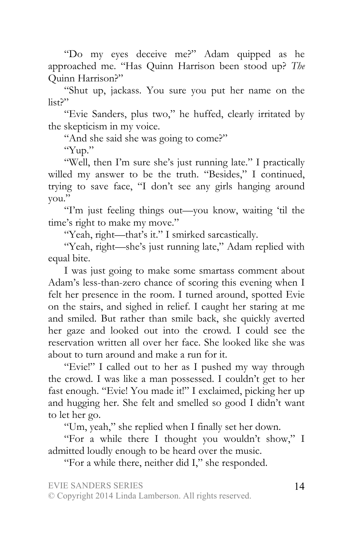"Do my eyes deceive me?" Adam quipped as he approached me. "Has Quinn Harrison been stood up? *The*  Quinn Harrison?"

"Shut up, jackass. You sure you put her name on the list?"

"Evie Sanders, plus two," he huffed, clearly irritated by the skepticism in my voice.

"And she said she was going to come?"

"Yup."

"Well, then I'm sure she's just running late." I practically willed my answer to be the truth. "Besides," I continued, trying to save face, "I don't see any girls hanging around you."

"I'm just feeling things out—you know, waiting 'til the time's right to make my move."

"Yeah, right—that's it." I smirked sarcastically.

"Yeah, right—she's just running late," Adam replied with equal bite.

I was just going to make some smartass comment about Adam's less-than-zero chance of scoring this evening when I felt her presence in the room. I turned around, spotted Evie on the stairs, and sighed in relief. I caught her staring at me and smiled. But rather than smile back, she quickly averted her gaze and looked out into the crowd. I could see the reservation written all over her face. She looked like she was about to turn around and make a run for it.

"Evie!" I called out to her as I pushed my way through the crowd. I was like a man possessed. I couldn't get to her fast enough. "Evie! You made it!" I exclaimed, picking her up and hugging her. She felt and smelled so good I didn't want to let her go.

"Um, yeah," she replied when I finally set her down.

"For a while there I thought you wouldn't show," I admitted loudly enough to be heard over the music.

"For a while there, neither did I," she responded.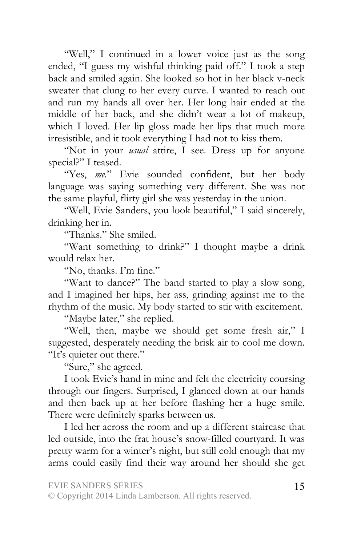"Well," I continued in a lower voice just as the song ended, "I guess my wishful thinking paid off." I took a step back and smiled again. She looked so hot in her black v-neck sweater that clung to her every curve. I wanted to reach out and run my hands all over her. Her long hair ended at the middle of her back, and she didn't wear a lot of makeup, which I loved. Her lip gloss made her lips that much more irresistible, and it took everything I had not to kiss them.

"Not in your *usual* attire, I see. Dress up for anyone special?" I teased.

"Yes, *me.*" Evie sounded confident, but her body language was saying something very different. She was not the same playful, flirty girl she was yesterday in the union.

"Well, Evie Sanders, you look beautiful," I said sincerely, drinking her in.

"Thanks." She smiled.

"Want something to drink?" I thought maybe a drink would relax her.

"No, thanks. I'm fine."

"Want to dance?" The band started to play a slow song, and I imagined her hips, her ass, grinding against me to the rhythm of the music. My body started to stir with excitement.

"Maybe later," she replied.

"Well, then, maybe we should get some fresh air," I suggested, desperately needing the brisk air to cool me down. "It's quieter out there."

"Sure," she agreed.

I took Evie's hand in mine and felt the electricity coursing through our fingers. Surprised, I glanced down at our hands and then back up at her before flashing her a huge smile. There were definitely sparks between us.

I led her across the room and up a different staircase that led outside, into the frat house's snow-filled courtyard. It was pretty warm for a winter's night, but still cold enough that my arms could easily find their way around her should she get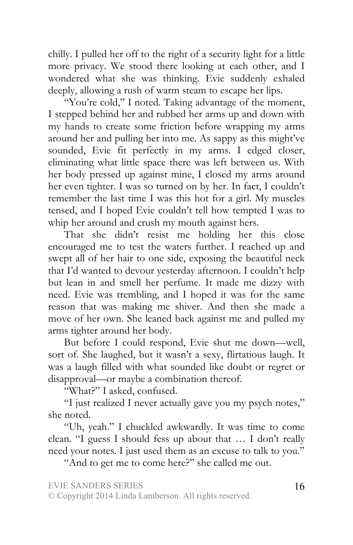chilly. I pulled her off to the right of a security light for a little more privacy. We stood there looking at each other, and I wondered what she was thinking. Evie suddenly exhaled deeply, allowing a rush of warm steam to escape her lips.

"You're cold," I noted. Taking advantage of the moment, I stepped behind her and rubbed her arms up and down with my hands to create some friction before wrapping my arms around her and pulling her into me. As sappy as this might've sounded, Evie fit perfectly in my arms. I edged closer, eliminating what little space there was left between us. With her body pressed up against mine, I closed my arms around her even tighter. I was so turned on by her. In fact, I couldn't remember the last time I was this hot for a girl. My muscles tensed, and I hoped Evie couldn't tell how tempted I was to whip her around and crush my mouth against hers.

That she didn't resist me holding her this close encouraged me to test the waters further. I reached up and swept all of her hair to one side, exposing the beautiful neck that I'd wanted to devour yesterday afternoon. I couldn't help but lean in and smell her perfume. It made me dizzy with need. Evie was trembling, and I hoped it was for the same reason that was making me shiver. And then she made a move of her own. She leaned back against me and pulled my arms tighter around her body.

But before I could respond, Evie shut me down—well, sort of. She laughed, but it wasn't a sexy, flirtatious laugh. It was a laugh filled with what sounded like doubt or regret or disapproval—or maybe a combination thereof.

"What?" I asked, confused.

"I just realized I never actually gave you my psych notes," she noted.

"Uh, yeah." I chuckled awkwardly. It was time to come clean. "I guess I should fess up about that … I don't really need your notes. I just used them as an excuse to talk to you."

"And to get me to come here?" she called me out.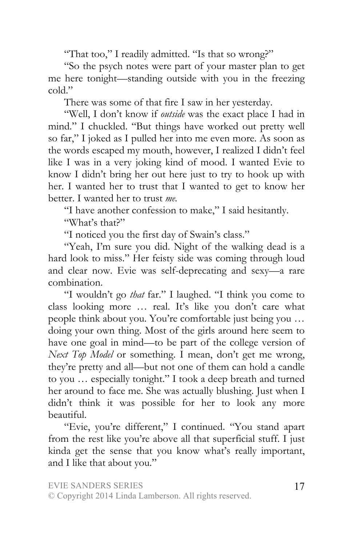"That too," I readily admitted. "Is that so wrong?"

"So the psych notes were part of your master plan to get me here tonight—standing outside with you in the freezing cold."

There was some of that fire I saw in her yesterday.

"Well, I don't know if *outside* was the exact place I had in mind." I chuckled. "But things have worked out pretty well so far," I joked as I pulled her into me even more. As soon as the words escaped my mouth, however, I realized I didn't feel like I was in a very joking kind of mood. I wanted Evie to know I didn't bring her out here just to try to hook up with her. I wanted her to trust that I wanted to get to know her better. I wanted her to trust *me.*

"I have another confession to make," I said hesitantly.

"What's that?"

"I noticed you the first day of Swain's class."

"Yeah, I'm sure you did. Night of the walking dead is a hard look to miss." Her feisty side was coming through loud and clear now. Evie was self-deprecating and sexy—a rare combination.

"I wouldn't go *that* far." I laughed. "I think you come to class looking more … real. It's like you don't care what people think about you. You're comfortable just being you … doing your own thing. Most of the girls around here seem to have one goal in mind—to be part of the college version of *Next Top Model* or something. I mean, don't get me wrong, they're pretty and all—but not one of them can hold a candle to you … especially tonight." I took a deep breath and turned her around to face me. She was actually blushing. Just when I didn't think it was possible for her to look any more beautiful.

"Evie, you're different," I continued. "You stand apart from the rest like you're above all that superficial stuff. I just kinda get the sense that you know what's really important, and I like that about you."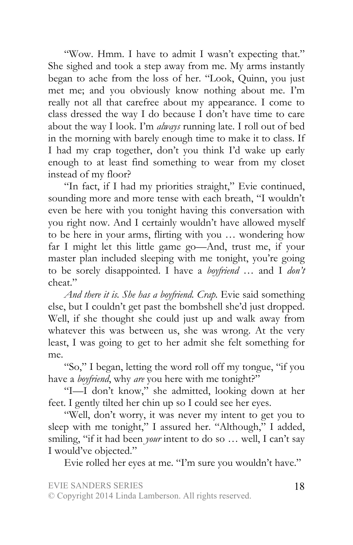"Wow. Hmm. I have to admit I wasn't expecting that." She sighed and took a step away from me. My arms instantly began to ache from the loss of her. "Look, Quinn, you just met me; and you obviously know nothing about me. I'm really not all that carefree about my appearance. I come to class dressed the way I do because I don't have time to care about the way I look. I'm *always* running late. I roll out of bed in the morning with barely enough time to make it to class. If I had my crap together, don't you think I'd wake up early enough to at least find something to wear from my closet instead of my floor?

"In fact, if I had my priorities straight," Evie continued, sounding more and more tense with each breath, "I wouldn't even be here with you tonight having this conversation with you right now. And I certainly wouldn't have allowed myself to be here in your arms, flirting with you … wondering how far I might let this little game go—And, trust me, if your master plan included sleeping with me tonight, you're going to be sorely disappointed. I have a *boyfriend* … and I *don't*  cheat."

*And there it is. She has a boyfriend. Crap.* Evie said something else, but I couldn't get past the bombshell she'd just dropped. Well, if she thought she could just up and walk away from whatever this was between us, she was wrong. At the very least, I was going to get to her admit she felt something for me.

"So," I began, letting the word roll off my tongue, "if you have a *boyfriend*, why *are* you here with me tonight?"

"I—I don't know," she admitted, looking down at her feet. I gently tilted her chin up so I could see her eyes.

"Well, don't worry, it was never my intent to get you to sleep with me tonight," I assured her. "Although," I added, smiling, "if it had been *your* intent to do so ... well, I can't say I would've objected."

Evie rolled her eyes at me. "I'm sure you wouldn't have."

EVIE SANDERS SERIES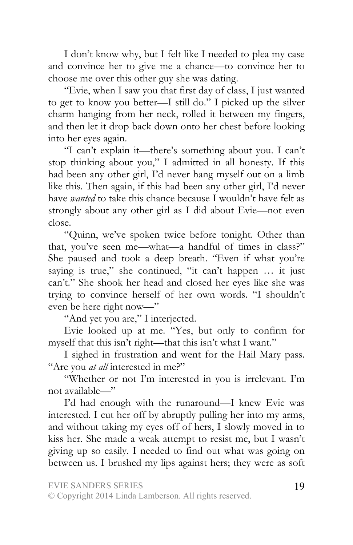I don't know why, but I felt like I needed to plea my case and convince her to give me a chance—to convince her to choose me over this other guy she was dating.

"Evie, when I saw you that first day of class, I just wanted to get to know you better—I still do." I picked up the silver charm hanging from her neck, rolled it between my fingers, and then let it drop back down onto her chest before looking into her eyes again.

"I can't explain it—there's something about you. I can't stop thinking about you," I admitted in all honesty. If this had been any other girl, I'd never hang myself out on a limb like this. Then again, if this had been any other girl, I'd never have *wanted* to take this chance because I wouldn't have felt as strongly about any other girl as I did about Evie—not even close.

"Quinn, we've spoken twice before tonight. Other than that, you've seen me—what—a handful of times in class?" She paused and took a deep breath. "Even if what you're saying is true," she continued, "it can't happen ... it just can't." She shook her head and closed her eyes like she was trying to convince herself of her own words. "I shouldn't even be here right now—"

"And yet you are," I interjected.

Evie looked up at me. "Yes, but only to confirm for myself that this isn't right—that this isn't what I want."

I sighed in frustration and went for the Hail Mary pass. "Are you *at all* interested in me?"

"Whether or not I'm interested in you is irrelevant. I'm not available—"

I'd had enough with the runaround—I knew Evie was interested. I cut her off by abruptly pulling her into my arms, and without taking my eyes off of hers, I slowly moved in to kiss her. She made a weak attempt to resist me, but I wasn't giving up so easily. I needed to find out what was going on between us. I brushed my lips against hers; they were as soft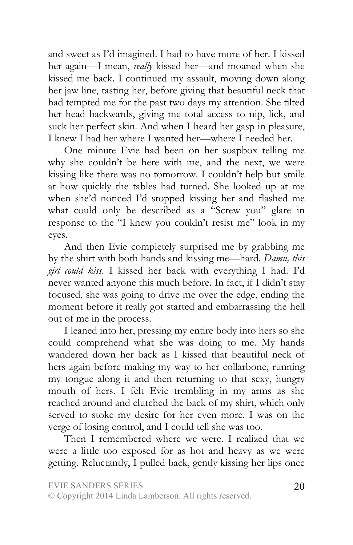and sweet as I'd imagined. I had to have more of her. I kissed her again—I mean, *really* kissed her—and moaned when she kissed me back. I continued my assault, moving down along her jaw line, tasting her, before giving that beautiful neck that had tempted me for the past two days my attention. She tilted her head backwards, giving me total access to nip, lick, and suck her perfect skin. And when I heard her gasp in pleasure, I knew I had her where I wanted her—where I needed her.

One minute Evie had been on her soapbox telling me why she couldn't be here with me, and the next, we were kissing like there was no tomorrow. I couldn't help but smile at how quickly the tables had turned. She looked up at me when she'd noticed I'd stopped kissing her and flashed me what could only be described as a "Screw you" glare in response to the "I knew you couldn't resist me" look in my eyes.

And then Evie completely surprised me by grabbing me by the shirt with both hands and kissing me—hard. *Damn, this girl could kiss*. I kissed her back with everything I had. I'd never wanted anyone this much before. In fact, if I didn't stay focused, she was going to drive me over the edge, ending the moment before it really got started and embarrassing the hell out of me in the process.

I leaned into her, pressing my entire body into hers so she could comprehend what she was doing to me. My hands wandered down her back as I kissed that beautiful neck of hers again before making my way to her collarbone, running my tongue along it and then returning to that sexy, hungry mouth of hers. I felt Evie trembling in my arms as she reached around and clutched the back of my shirt, which only served to stoke my desire for her even more. I was on the verge of losing control, and I could tell she was too.

Then I remembered where we were. I realized that we were a little too exposed for as hot and heavy as we were getting. Reluctantly, I pulled back, gently kissing her lips once